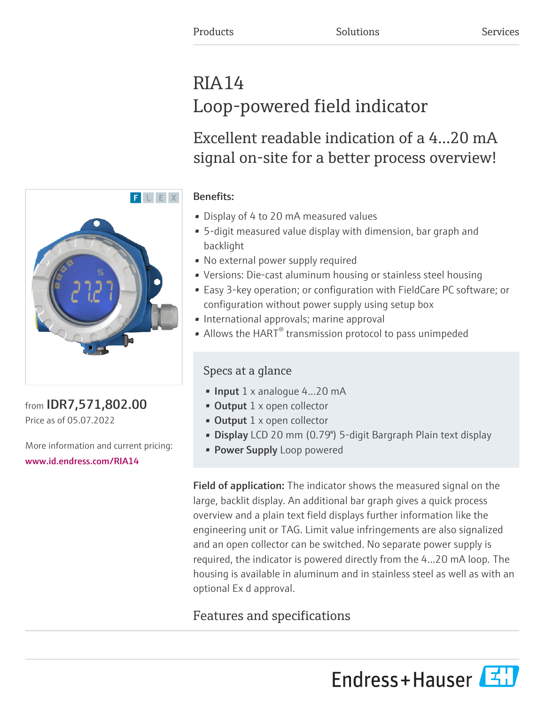# RIA14 Loop-powered field indicator

Excellent readable indication of a 4…20 mA signal on-site for a better process overview!

## Benefits:

- Display of 4 to 20 mA measured values
- 5-digit measured value display with dimension, bar graph and backlight
- No external power supply required
- Versions: Die-cast aluminum housing or stainless steel housing
- Easy 3-key operation; or configuration with FieldCare PC software; or configuration without power supply using setup box
- International approvals; marine approval
- Allows the HART<sup>®</sup> transmission protocol to pass unimpeded

## Specs at a glance

- Input  $1 \times$  analogue 4...20 mA
- Output 1 x open collector
- Output 1 x open collector
- Display LCD 20 mm (0.79") 5-digit Bargraph Plain text display
- **Power Supply** Loop powered

Field of application: The indicator shows the measured signal on the large, backlit display. An additional bar graph gives a quick process overview and a plain text field displays further information like the engineering unit or TAG. Limit value infringements are also signalized and an open collector can be switched. No separate power supply is required, the indicator is powered directly from the 4...20 mA loop. The housing is available in aluminum and in stainless steel as well as with an optional Ex d approval.

# Features and specifications





from IDR7,571,802.00 Price as of 05.07.2022

More information and current pricing: [www.id.endress.com/RIA14](https://www.id.endress.com/RIA14)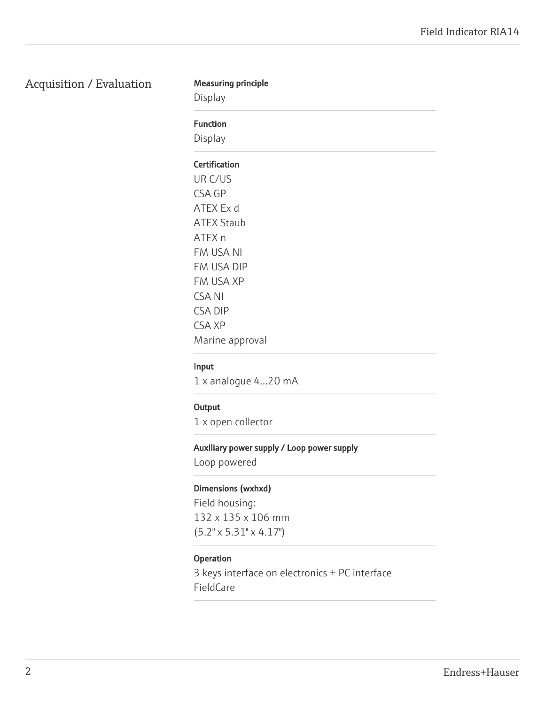Acquisition / Evaluation

| Measuring principle<br>Display |  |
|--------------------------------|--|
| <b>Function</b>                |  |
| Display                        |  |
| <b>Certification</b>           |  |
| UR C/US                        |  |
| CSA GP                         |  |
| ATEX Ex d                      |  |
| <b>ATEX Staub</b>              |  |
| ATEX <sub>n</sub>              |  |
| FM USA NI                      |  |
| FM USA DIP                     |  |
| FM USA XP                      |  |
| <b>CSANI</b>                   |  |
| <b>CSA DIP</b>                 |  |
| CSA XP                         |  |
| Marine approval                |  |

## Input

1 x analogue 4...20 mA

#### **Output**

1 x open collector

## Auxiliary power supply / Loop power supply

Loop powered

## Dimensions (wxhxd)

Field housing: 132 x 135 x 106 mm (5.2" x 5.31" x 4.17")

## Operation

3 keys interface on electronics + PC interface FieldCare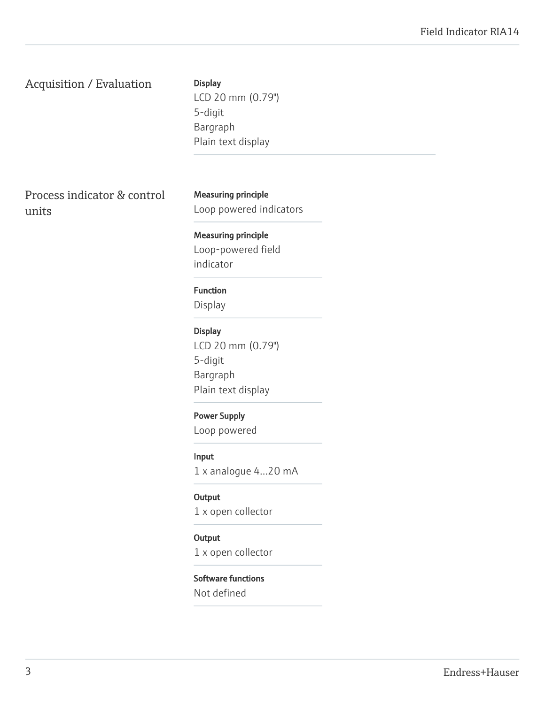## Acquisition / Evaluation

**Display** 

LCD 20 mm (0.79") 5-digit Bargraph Plain text display

Process indicator & control units

Measuring principle Loop powered indicators

Measuring principle Loop-powered field indicator

## Function

Display

Display LCD 20 mm (0.79") 5-digit Bargraph Plain text display

## Power Supply

Loop powered

Input

1 x analogue 4...20 mA

**Output** 

1 x open collector

## **Output**

1 x open collector

## Software functions

Not defined